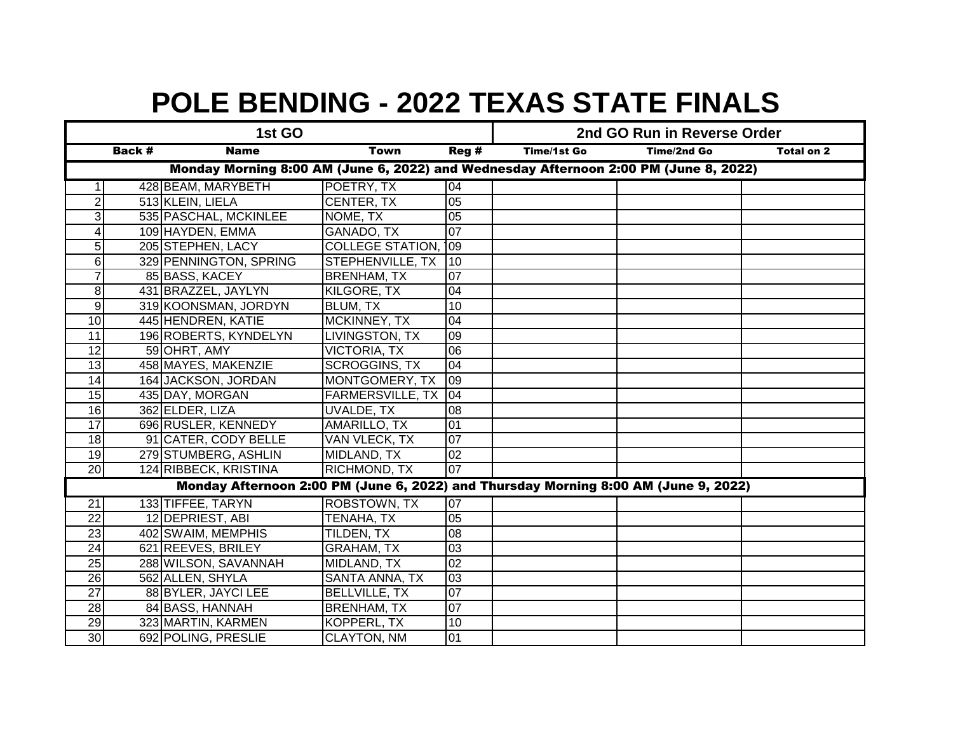| 1st GO                                                                               |  |                        |                         |                 | 2nd GO Run in Reverse Order |             |            |  |
|--------------------------------------------------------------------------------------|--|------------------------|-------------------------|-----------------|-----------------------------|-------------|------------|--|
| Back #<br><b>Name</b><br><b>Town</b>                                                 |  |                        |                         | Reg#            | <b>Time/1st Go</b>          | Time/2nd Go | Total on 2 |  |
| Monday Morning 8:00 AM (June 6, 2022) and Wednesday Afternoon 2:00 PM (June 8, 2022) |  |                        |                         |                 |                             |             |            |  |
|                                                                                      |  | 428 BEAM, MARYBETH     | POETRY, TX              | 04              |                             |             |            |  |
| 2                                                                                    |  | 513 KLEIN, LIELA       | CENTER, TX              | 05              |                             |             |            |  |
| 3                                                                                    |  | 535 PASCHAL, MCKINLEE  | NOME, TX                | $\overline{05}$ |                             |             |            |  |
| 4                                                                                    |  | 109 HAYDEN, EMMA       | <b>GANADO, TX</b>       | 07              |                             |             |            |  |
| 5                                                                                    |  | 205 STEPHEN, LACY      | <b>COLLEGE STATION,</b> | 109             |                             |             |            |  |
| 6 <sup>1</sup>                                                                       |  | 329 PENNINGTON, SPRING | STEPHENVILLE, TX        | 10              |                             |             |            |  |
| $\overline{7}$                                                                       |  | 85 BASS, KACEY         | <b>BRENHAM, TX</b>      | 07              |                             |             |            |  |
| $\bf{8}$                                                                             |  | 431 BRAZZEL, JAYLYN    | <b>KILGORE, TX</b>      | $\overline{04}$ |                             |             |            |  |
| 9                                                                                    |  | 319 KOONSMAN, JORDYN   | BLUM, TX                | 10              |                             |             |            |  |
| 10                                                                                   |  | 445 HENDREN, KATIE     | MCKINNEY, TX            | 04              |                             |             |            |  |
| 11                                                                                   |  | 196 ROBERTS, KYNDELYN  | LIVINGSTON, TX          | 09              |                             |             |            |  |
| 12                                                                                   |  | 59 OHRT, AMY           | <b>VICTORIA, TX</b>     | 06              |                             |             |            |  |
| 13                                                                                   |  | 458 MAYES, MAKENZIE    | <b>SCROGGINS, TX</b>    | 04              |                             |             |            |  |
| 14                                                                                   |  | 164 JACKSON, JORDAN    | MONTGOMERY, TX          | 09              |                             |             |            |  |
| 15                                                                                   |  | 435 DAY, MORGAN        | <b>FARMERSVILLE, TX</b> | 04              |                             |             |            |  |
| $\overline{16}$                                                                      |  | 362 ELDER, LIZA        | <b>UVALDE, TX</b>       | 08              |                             |             |            |  |
| $\overline{17}$                                                                      |  | 696 RUSLER, KENNEDY    | AMARILLO, TX            | 01              |                             |             |            |  |
| $\frac{1}{8}$                                                                        |  | 91 CATER, CODY BELLE   | VAN VLECK, TX           | 07              |                             |             |            |  |
| $\overline{19}$                                                                      |  | 279 STUMBERG, ASHLIN   | MIDLAND, TX             | 02              |                             |             |            |  |
| 20                                                                                   |  | 124 RIBBECK, KRISTINA  | RICHMOND, TX            | 07              |                             |             |            |  |
| Monday Afternoon 2:00 PM (June 6, 2022) and Thursday Morning 8:00 AM (June 9, 2022)  |  |                        |                         |                 |                             |             |            |  |
| $\overline{21}$                                                                      |  | 133 TIFFEE, TARYN      | <b>ROBSTOWN, TX</b>     | 07              |                             |             |            |  |
| 22                                                                                   |  | 12 DEPRIEST, ABI       | TENAHA, TX              | 05              |                             |             |            |  |
| 23                                                                                   |  | 402 SWAIM, MEMPHIS     | TILDEN, TX              | 08              |                             |             |            |  |
| 24                                                                                   |  | 621 REEVES, BRILEY     | <b>GRAHAM, TX</b>       | 03              |                             |             |            |  |
| 25                                                                                   |  | 288 WILSON, SAVANNAH   | MIDLAND, TX             | $\overline{02}$ |                             |             |            |  |
| $\overline{26}$                                                                      |  | 562 ALLEN, SHYLA       | SANTA ANNA, TX          | 03              |                             |             |            |  |
| $\overline{27}$                                                                      |  | 88 BYLER, JAYCI LEE    | <b>BELLVILLE, TX</b>    | $\overline{0}$  |                             |             |            |  |
| 28                                                                                   |  | 84 BASS, HANNAH        | <b>BRENHAM, TX</b>      | 07              |                             |             |            |  |
| 29                                                                                   |  | 323 MARTIN, KARMEN     | KOPPERL, TX             | 10              |                             |             |            |  |
| 30                                                                                   |  | 692 POLING, PRESLIE    | <b>CLAYTON, NM</b>      | 01              |                             |             |            |  |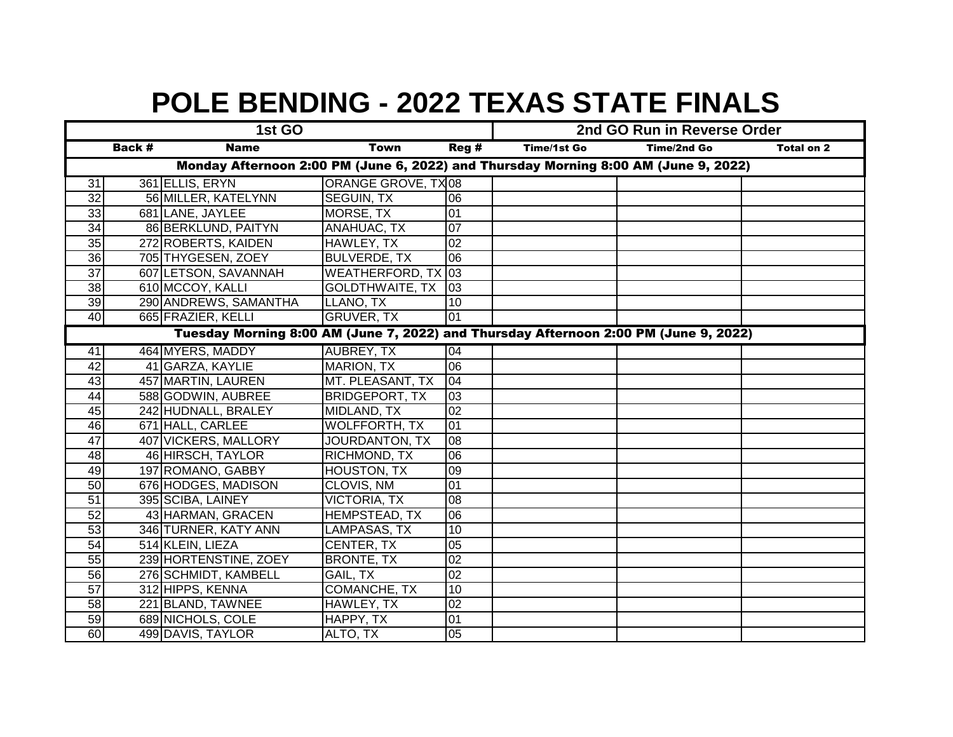| 1st GO                                                                              |                                                                                      |                       |                           |                 |                    | 2nd GO Run in Reverse Order |                   |  |  |
|-------------------------------------------------------------------------------------|--------------------------------------------------------------------------------------|-----------------------|---------------------------|-----------------|--------------------|-----------------------------|-------------------|--|--|
|                                                                                     | <b>Back #</b>                                                                        | <b>Name</b>           | <b>Town</b>               | Reg#            | <b>Time/1st Go</b> | <b>Time/2nd Go</b>          | <b>Total on 2</b> |  |  |
| Monday Afternoon 2:00 PM (June 6, 2022) and Thursday Morning 8:00 AM (June 9, 2022) |                                                                                      |                       |                           |                 |                    |                             |                   |  |  |
| 31                                                                                  |                                                                                      | 361 ELLIS, ERYN       | <b>ORANGE GROVE, TX08</b> |                 |                    |                             |                   |  |  |
| 32                                                                                  |                                                                                      | 56 MILLER, KATELYNN   | SEGUIN, TX                | 06              |                    |                             |                   |  |  |
| 33                                                                                  |                                                                                      | 681 LANE, JAYLEE      | MORSE, TX                 | $\overline{01}$ |                    |                             |                   |  |  |
| $\overline{34}$                                                                     |                                                                                      | 86 BERKLUND, PAITYN   | ANAHUAC, TX               | 07              |                    |                             |                   |  |  |
| 35                                                                                  |                                                                                      | 272 ROBERTS, KAIDEN   | HAWLEY, TX                | 02              |                    |                             |                   |  |  |
| $\overline{36}$                                                                     |                                                                                      | 705 THYGESEN, ZOEY    | <b>BULVERDE, TX</b>       | 06              |                    |                             |                   |  |  |
| 37                                                                                  |                                                                                      | 607 LETSON, SAVANNAH  | WEATHERFORD, TX 03        |                 |                    |                             |                   |  |  |
| 38                                                                                  |                                                                                      | 610 MCCOY, KALLI      | <b>GOLDTHWAITE, TX</b>    | $ 03\rangle$    |                    |                             |                   |  |  |
| 39                                                                                  |                                                                                      | 290 ANDREWS, SAMANTHA | LLANO, TX                 | 10              |                    |                             |                   |  |  |
| 40                                                                                  |                                                                                      | 665 FRAZIER, KELLI    | <b>GRUVER, TX</b>         | 01              |                    |                             |                   |  |  |
|                                                                                     | Tuesday Morning 8:00 AM (June 7, 2022) and Thursday Afternoon 2:00 PM (June 9, 2022) |                       |                           |                 |                    |                             |                   |  |  |
| 41                                                                                  |                                                                                      | 464 MYERS, MADDY      | <b>AUBREY, TX</b>         | 04              |                    |                             |                   |  |  |
| 42                                                                                  |                                                                                      | 41 GARZA, KAYLIE      | <b>MARION, TX</b>         | 06              |                    |                             |                   |  |  |
| 43                                                                                  |                                                                                      | 457 MARTIN, LAUREN    | MT. PLEASANT, TX          | 04              |                    |                             |                   |  |  |
| 44                                                                                  |                                                                                      | 588 GODWIN, AUBREE    | <b>BRIDGEPORT, TX</b>     | 03              |                    |                             |                   |  |  |
| 45                                                                                  |                                                                                      | 242 HUDNALL, BRALEY   | MIDLAND, TX               | $\overline{02}$ |                    |                             |                   |  |  |
| 46                                                                                  |                                                                                      | 671 HALL, CARLEE      | <b>WOLFFORTH, TX</b>      | 01              |                    |                             |                   |  |  |
| 47                                                                                  |                                                                                      | 407 VICKERS, MALLORY  | JOURDANTON, TX            | 08              |                    |                             |                   |  |  |
| 48                                                                                  |                                                                                      | 46 HIRSCH, TAYLOR     | RICHMOND, TX              | 06              |                    |                             |                   |  |  |
| 49                                                                                  |                                                                                      | 197 ROMANO, GABBY     | <b>HOUSTON, TX</b>        | 09              |                    |                             |                   |  |  |
| 50                                                                                  |                                                                                      | 676 HODGES, MADISON   | CLOVIS, NM                | 01              |                    |                             |                   |  |  |
| $\overline{51}$                                                                     |                                                                                      | 395 SCIBA, LAINEY     | <b>VICTORIA, TX</b>       | 08              |                    |                             |                   |  |  |
| 52                                                                                  |                                                                                      | 43 HARMAN, GRACEN     | HEMPSTEAD, TX             | 06              |                    |                             |                   |  |  |
| 53                                                                                  |                                                                                      | 346 TURNER, KATY ANN  | LAMPASAS, TX              | 10              |                    |                             |                   |  |  |
| 54                                                                                  |                                                                                      | 514 KLEIN, LIEZA      | CENTER, TX                | 05              |                    |                             |                   |  |  |
| 55                                                                                  |                                                                                      | 239 HORTENSTINE, ZOEY | <b>BRONTE, TX</b>         | 02              |                    |                             |                   |  |  |
| 56                                                                                  |                                                                                      | 276 SCHMIDT, KAMBELL  | GAIL, TX                  | $\overline{02}$ |                    |                             |                   |  |  |
| 57                                                                                  |                                                                                      | 312 HIPPS, KENNA      | <b>COMANCHE, TX</b>       | 10              |                    |                             |                   |  |  |
| 58                                                                                  |                                                                                      | 221 BLAND, TAWNEE     | HAWLEY, TX                | 02              |                    |                             |                   |  |  |
| 59                                                                                  |                                                                                      | 689 NICHOLS, COLE     | HAPPY, TX                 | 01              |                    |                             |                   |  |  |
| 60                                                                                  |                                                                                      | 499 DAVIS, TAYLOR     | ALTO, TX                  | 05              |                    |                             |                   |  |  |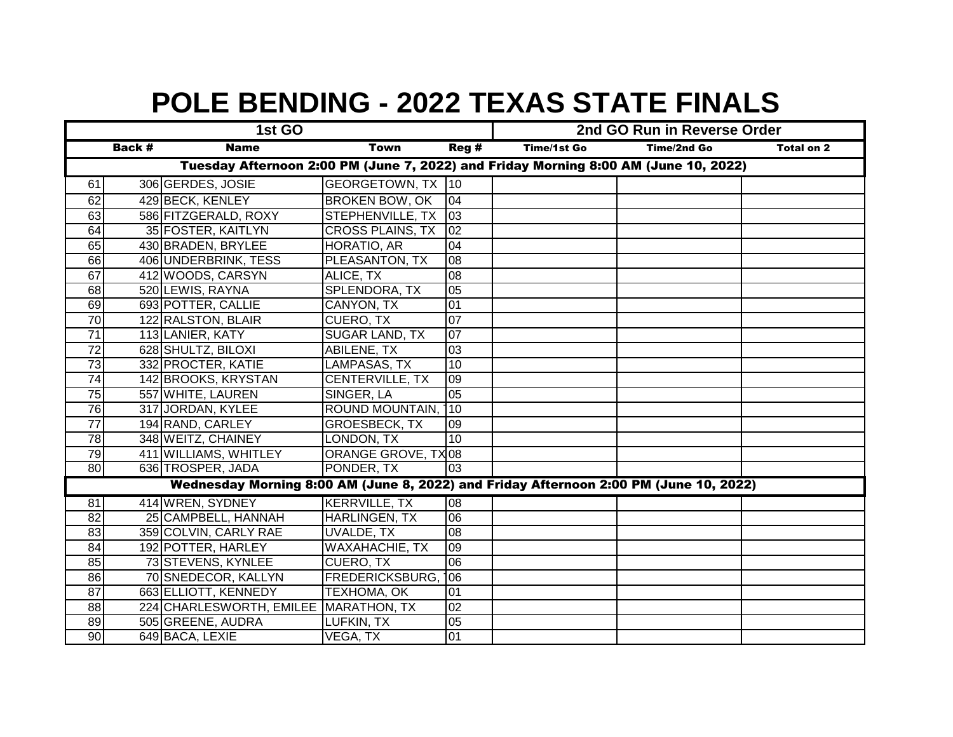| 1st GO                                                                                |        |                                       |                         |                  |                    | 2nd GO Run in Reverse Order<br><b>Time/2nd Go</b><br><b>Total on 2</b> |  |  |
|---------------------------------------------------------------------------------------|--------|---------------------------------------|-------------------------|------------------|--------------------|------------------------------------------------------------------------|--|--|
|                                                                                       | Back # | <b>Name</b>                           | <b>Town</b>             | Reg#             | <b>Time/1st Go</b> |                                                                        |  |  |
| Tuesday Afternoon 2:00 PM (June 7, 2022) and Friday Morning 8:00 AM (June 10, 2022)   |        |                                       |                         |                  |                    |                                                                        |  |  |
| 61                                                                                    |        | 306 GERDES, JOSIE                     | GEORGETOWN, TX 10       |                  |                    |                                                                        |  |  |
| 62                                                                                    |        | 429 BECK, KENLEY                      | BROKEN BOW, OK          | 04               |                    |                                                                        |  |  |
| 63                                                                                    |        | 586 FITZGERALD, ROXY                  | STEPHENVILLE, TX        | 03               |                    |                                                                        |  |  |
| 64                                                                                    |        | 35 FOSTER, KAITLYN                    | <b>CROSS PLAINS, TX</b> | 02               |                    |                                                                        |  |  |
| 65                                                                                    |        | 430 BRADEN, BRYLEE                    | HORATIO, AR             | 04               |                    |                                                                        |  |  |
| 66                                                                                    |        | 406 UNDERBRINK, TESS                  | PLEASANTON, TX          | 08               |                    |                                                                        |  |  |
| 67                                                                                    |        | 412 WOODS, CARSYN                     | ALICE, TX               | 08               |                    |                                                                        |  |  |
| $\overline{68}$                                                                       |        | 520 LEWIS, RAYNA                      | SPLENDORA, TX           | $\overline{05}$  |                    |                                                                        |  |  |
| 69                                                                                    |        | 693 POTTER, CALLIE                    | CANYON, TX              | 01               |                    |                                                                        |  |  |
| $\overline{70}$                                                                       |        | 122 RALSTON, BLAIR                    | CUERO, TX               | 07               |                    |                                                                        |  |  |
| $\overline{71}$                                                                       |        | 113 LANIER, KATY                      | <b>SUGAR LAND, TX</b>   | $ 07\rangle$     |                    |                                                                        |  |  |
| $\overline{72}$                                                                       |        | 628 SHULTZ, BILOXI                    | <b>ABILENE, TX</b>      | $\overline{03}$  |                    |                                                                        |  |  |
| $\overline{73}$                                                                       |        | 332 PROCTER, KATIE                    | <b>LAMPASAS, TX</b>     | 10               |                    |                                                                        |  |  |
| $\overline{74}$                                                                       |        | 142 BROOKS, KRYSTAN                   | CENTERVILLE, TX         | 09               |                    |                                                                        |  |  |
| 75                                                                                    |        | 557 WHITE, LAUREN                     | SINGER, LA              | 05               |                    |                                                                        |  |  |
| 76                                                                                    |        | 317 JORDAN, KYLEE                     | ROUND MOUNTAIN,         | 110              |                    |                                                                        |  |  |
| $\overline{77}$                                                                       |        | 194 RAND, CARLEY                      | <b>GROESBECK, TX</b>    | 09               |                    |                                                                        |  |  |
| $\overline{78}$                                                                       |        | 348 WEITZ, CHAINEY                    | LONDON, TX              | 10               |                    |                                                                        |  |  |
| 79                                                                                    |        | 411 WILLIAMS, WHITLEY                 | ORANGE GROVE, TX08      |                  |                    |                                                                        |  |  |
| 80                                                                                    |        | 636 TROSPER, JADA                     | PONDER, TX              | 03               |                    |                                                                        |  |  |
| Wednesday Morning 8:00 AM (June 8, 2022) and Friday Afternoon 2:00 PM (June 10, 2022) |        |                                       |                         |                  |                    |                                                                        |  |  |
| $\overline{81}$                                                                       |        | 414 WREN, SYDNEY                      | <b>KERRVILLE, TX</b>    | 08               |                    |                                                                        |  |  |
| 82                                                                                    |        | 25 CAMPBELL, HANNAH                   | HARLINGEN, TX           | 06               |                    |                                                                        |  |  |
| 83                                                                                    |        | 359 COLVIN, CARLY RAE                 | UVALDE, TX              | 08               |                    |                                                                        |  |  |
| 84                                                                                    |        | 192 POTTER, HARLEY                    | <b>WAXAHACHIE, TX</b>   | 09               |                    |                                                                        |  |  |
| 85                                                                                    |        | 73 STEVENS, KYNLEE                    | CUERO, TX               | 06               |                    |                                                                        |  |  |
| 86                                                                                    |        | 70 SNEDECOR, KALLYN                   | FREDERICKSBURG,         | $\overline{106}$ |                    |                                                                        |  |  |
| $\overline{87}$                                                                       |        | 663 ELLIOTT, KENNEDY                  | TEXHOMA, OK             | 01               |                    |                                                                        |  |  |
| 88                                                                                    |        | 224 CHARLESWORTH, EMILEE MARATHON, TX |                         | 02               |                    |                                                                        |  |  |
| 89                                                                                    |        | 505 GREENE, AUDRA                     | LUFKIN, TX              | 05               |                    |                                                                        |  |  |
| 90                                                                                    |        | 649 BACA, LEXIE                       | VEGA, TX                | $\overline{01}$  |                    |                                                                        |  |  |